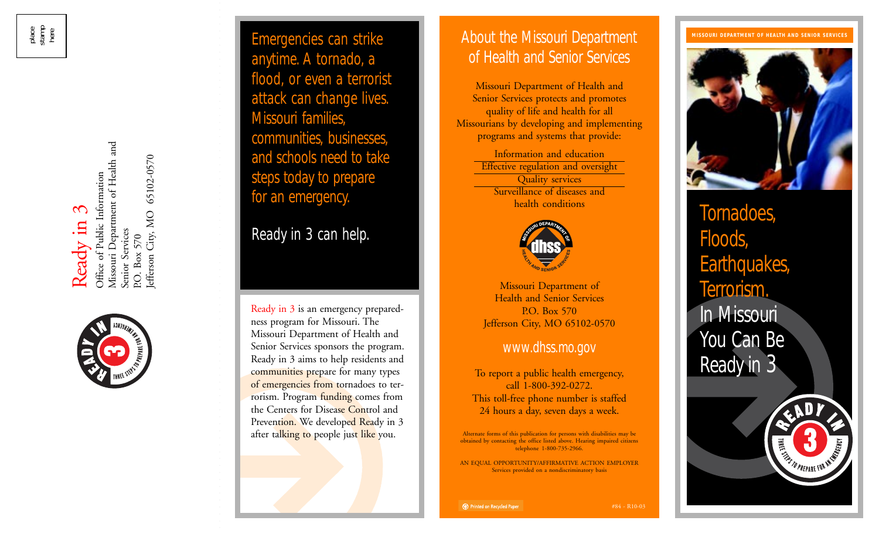Ready in 3

Missouri Department of Health and Missouri Department of Health and lefferson City, MO 65102-0570 Jefferson City, MO 65102-0570 Office of Public Information Office of Public Information Senior Services Senior Services P.O. Box 570 P.O. Box 570



Emergencies can strike anytime. A tornado, a flood, or even a terrorist attack can change lives. Missouri families, communities, businesses, and schools need to take steps today to prepare for an emergency.

Ready in 3 can help.

Ready in 3 is an emergency preparedness program for Missouri. The Missouri Department of Health and Senior Services sponsors the program. Ready in 3 aims to help residents and communities prepare for many types of emergencies from tornadoes to terrorism. Program funding comes from the Centers for Disease Control and Prevention. We developed Ready in 3 after talking to people just like you.

# About the Missouri Department of Health and Senior Services

Missouri Department of Health and Senior Services protects and promotes quality of life and health for all Missourians by developing and implementing programs and systems that provide:

> Information and education Effective regulation and oversight Quality services Surveillance of diseases and health conditions



Missouri Department of Health and Senior Services P.O. Box 570 Jefferson City, MO 65102-0570

## www.dhss.mo.gov

To report a public health emergency, call 1-800-392-0272. This toll-free phone number is staffed 24 hours a day, seven days a week.

Alternate forms of this publication for persons with disabilities may be obtained by contacting the office listed above. Hearing impaired citizens telephone 1-800-735-2966.

AN EQUAL OPPORTUNITY/AFFIRMATIVE ACTION EMPLOYER Services provided on a nondiscriminatory basis

#### **MISSOURI DEPARTMENT OF HEALTH AND SENIOR SERVICES**



Tornadoes, Floods, Earthquakes, Terrorism. In Missouri You Can Be Ready in 3



#84 - R10-03